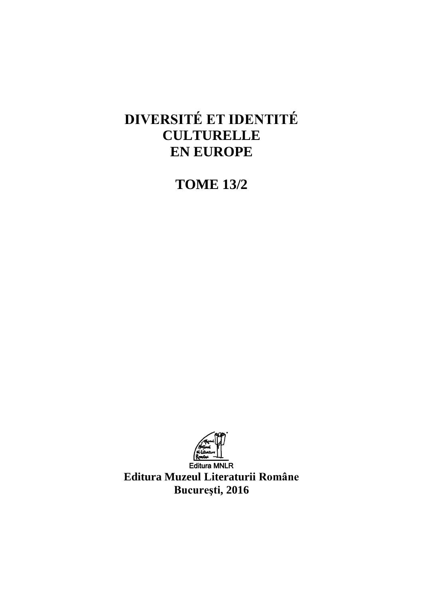# **DIVERSITÉ ET IDENTITÉ CULTURELLE EN EUROPE**

**TOME 13/2**



**Editura Muzeul Literaturii Române Bucureşti, 2016**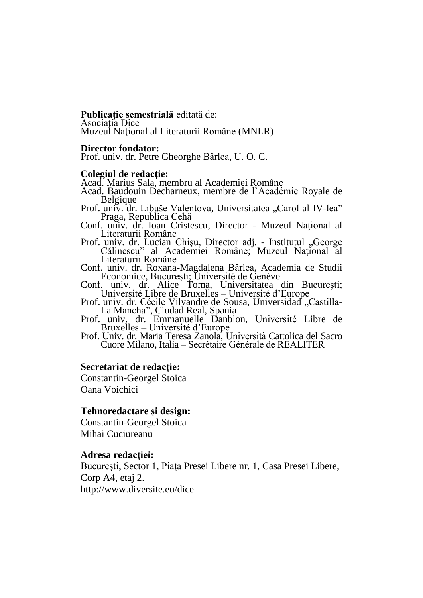### **Publicaţie semestrială** editată de: Asociația Dice

Muzeul Naţional al Literaturii Române (MNLR)

### **Director fondator:**

Prof. univ. dr. Petre Gheorghe Bârlea, U. O. C.

### **Colegiul de redacţie:**

Acad. Marius Sala, membru al Academiei Române

Acad. Baudouin Decharneux, membre de l`Académie Royale de Belgique

Prof. univ. dr. Libuše Valentová, Universitatea "Carol al IV-lea" Praga, Republica Cehă

- Conf. univ. dr. Ioan Cristescu, Director Muzeul Național al Literaturii Române
- Prof. univ. dr. Lucian Chișu, Director adj. Institutul "George Călinescu" al Academiei Române; Muzeul Național al Literaturii Române

Conf. univ. dr. Roxana-Magdalena Bârlea, Academia de Studii Economice, Bucureşti; Université de Genève

Conf. univ. dr. Alice Toma, Universitatea din București; Université Libre de Bruxelles – Université d'Europe

Prof. univ. dr. Cécile Vilvandre de Sousa, Universidad, Castilla-La Mancha", Ciudad Real, Spania

Prof. univ. dr. Emmanuelle Danblon, Université Libre de Bruxelles – Université d'Europe

Prof. Univ. dr. Maria Teresa Zanola, Università Cattolica del Sacro Cuore Milano, Italia – Secrétaire Générale de REALITER

### **Secretariat de redacţie:**

Constantin-Georgel Stoica Oana Voichici

### **Tehnoredactare şi design:**

Constantin-Georgel Stoica Mihai Cuciureanu

### **Adresa redacţiei:**

Bucureşti, Sector 1, Piaţa Presei Libere nr. 1, Casa Presei Libere, Corp A4, etaj 2. http://www.diversite.eu/dice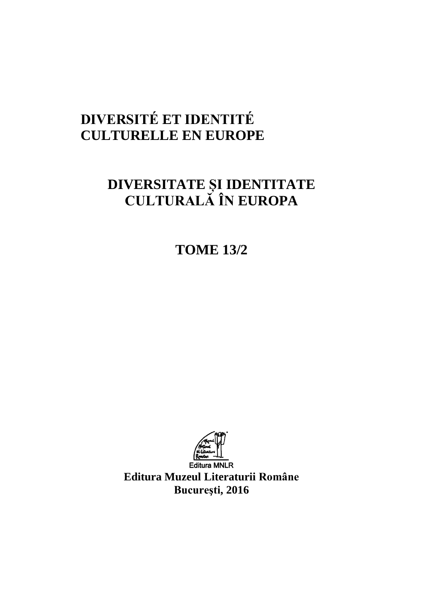# **DIVERSITÉ ET IDENTITÉ CULTURELLE EN EUROPE**

# **DIVERSITATE ȘI IDENTITATE CULTURALĂ ÎN EUROPA**

**TOME 13/2**



**Editura Muzeul Literaturii Române Bucureşti, 2016**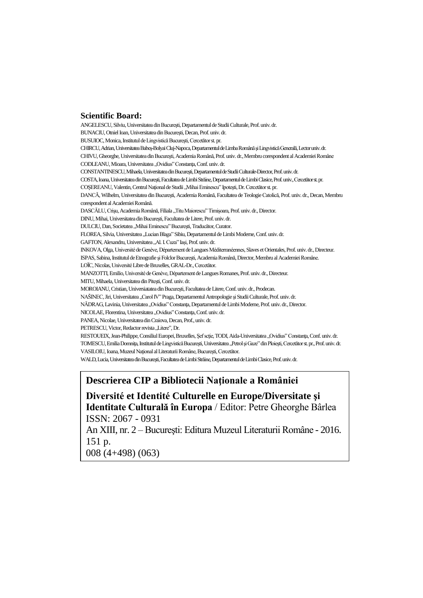### **Scientific Board:**

ANGELESCU,Silviu,Universitatea dinBucureşti,DepartamentuldeStudiiCulturale,Prof.univ.dr. BUNACIU, Otniel Ioan, Universitatea din București, Decan, Prof. univ. dr. BUSUIOC, Monica, Institutul de Lingvistică București, Cercetător st. pr. CHIRCU,Adrian,UniversitateaBabeş-BolyaiCluj-Napoca,DepartamentuldeLimbaRomânăşiLingvisticăGenerală,Lectoruniv.dr. CHIVU, Gheorghe, Universitatea din București, Academia Română, Prof. univ. dr., Membru corespondent al Academiei Române CODLEANU, Mioara, Universitatea "Ovidius" Constanța, Conf. univ. dr. CONSTANTINESCU,Mihaela,UniversitateadinBucureşti,DepartamentuldeStudiiCulturale-Director,Prof.univ.dr. COSTA,Ioana,UniversitateadinBucureşti,FacultateadeLimbiStrăine,DepartamentuldeLimbiClasice,Prof.univ.,Cercetătorst.pr. COȘEREANU, Valentin, Centrul Național de Studii "Mihai Eminescu" Ipotești, Dr. Cercetător st. pr. DANCĂ, Wilhelm, Universitatea din București, Academia Română, Facultatea de Teologie Catolică, Prof. univ. dr., Decan, Membru corespondent al Academiei Română. DASCĂLU, Crișu, Academia Română, Filiala "Titu Maiorescu" Timișoara, Prof. univ. dr., Director. DINU,Mihai,UniversitateadinBucureşti,FacultateadeLitere,Prof.univ.dr. DULCIU, Dan, Societatea ,,Mihai Eminescu" București, Traducător, Curator. FLOREA, Silvia, Universitatea "Lucian Blaga" Sibiu, Departamentul de Limbi Moderne, Conf. univ. dr. GAFTON, Alexandru, Universitatea "Al. I. Cuza" Iași, Prof. univ. dr. INKOVA,Olga,UniversitédeGenève,DépartementdeLanguesMéditerranéennes,Slaves etOrientales,Prof.univ.dr.,Directeur. ISPAS, Sabina, Institutul de Etnografie și Folclor București, Academia Română, Director, Membru al Academiei Române. LOÏC, Nicolas, Université Libre de Bruxelles, GRAL-Dr., Cercetător. MANZOTTI, Emilio, Université de Genève, Département de Langues Romanes, Prof. univ. dr., Directeur. MITU, Mihaela, Universitatea din Pitești, Conf. univ. dr. MOROIANU,Cristian,UniversiatateadinBucureşti,FacultateadeLitere,Conf.univ.dr.,Prodecan. NAŠINEC, Jiri, Universitatea "Carol IV" Praga, Departamentul Antropologie și Studii Culturale, Prof. univ. dr. NĂDRAG, Lavinia, Universitatea "Ovidius" Constanța, Departamentul de Limbi Moderne, Prof. univ. dr., Director. NICOLAE, Florentina, Universitatea "Ovidius" Constanța, Conf. univ. dr. PANEA, Nicolae, Universitatea din Craiova, Decan, Prof., univ. dr. PETRESCU, Victor, Redactor revista "Litere", Dr. RESTOUEIX, Jean-Philippe, Consiliul Europei, Bruxelles, Şef scție, TODI, Aida-Universitatea "Ovidius" Constanța, Conf. univ. dr. TOMESCU, Emilia Domnița, Institutul de Lingvistică București, Universitatea "Petrol și Gaze" din Ploiești, Cercetător st. pr., Prof. univ. dr. VASILOIU, Ioana, Muzeul Național al Literaturii Române, București, Cercetător. WALD, Lucia, Universitatea din București, Facultatea de Limbi Străine, Departamentul de Limbi Clasice, Prof. univ. dr.

## **Descrierea CIP a Bibliotecii Naţionale a României**

**Diversité et Identité Culturelle en Europe/Diversitate şi Identitate Culturală în Europa** / Editor: Petre Gheorghe Bârlea ISSN: 2067 - 0931

An XIII, nr. 2 – Bucureşti: Editura Muzeul Literaturii Române - 2016. 151 p.

008 (4+498) (063)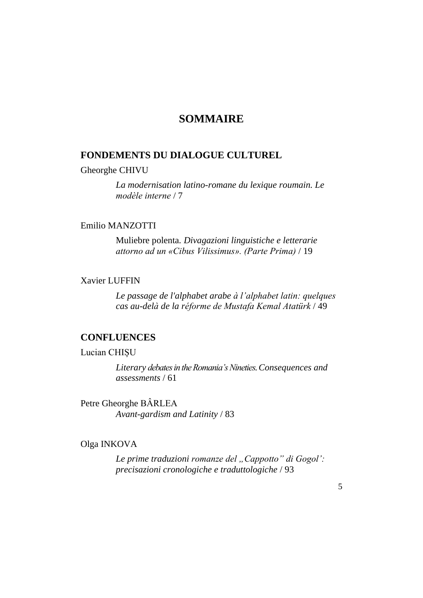# **SOMMAIRE**

## **FONDEMENTS DU DIALOGUE CULTUREL**

### Gheorghe CHIVU

*La modernisation latino-romane du lexique roumain. Le modèle interne* / 7

## Emilio MANZOTTI

Muliebre polenta*. Divagazioni linguistiche e letterarie attorno ad un «Cibus Vilissimus». (Parte Prima)* / 19

### Xavier LUFFIN

*Le passage de l'alphabet arabe à l'alphabet latin: quelques cas au-delà de la réforme de Mustafa Kemal Atatürk* / 49

### **CONFLUENCES**

### Lucian CHIȘU

*Literary debates in the Romania's Nineties.Consequences and assessments* / 61

Petre Gheorghe BÂRLEA *Avant-gardism and Latinity* / 83

### Olga INKOVA

Le prime *traduzioni romanze del* "Cappotto" di Gogol': *precisazioni cronologiche e traduttologiche* / 93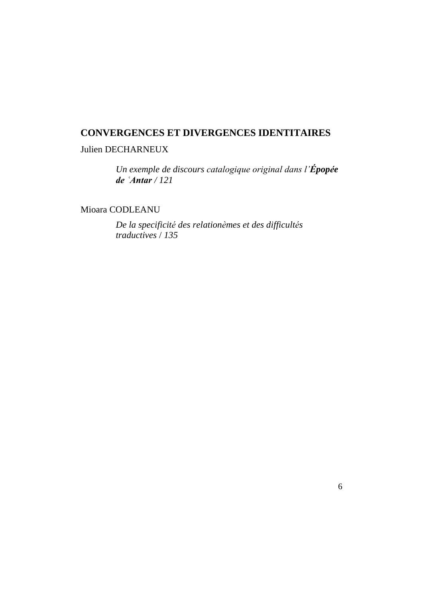# **CONVERGENCES ET DIVERGENCES IDENTITAIRES**

# Julien DECHARNEUX

*Un exemple de discours catalogique original dans l'Épopée de ʿAntar / 121*

Mioara CODLEANU

*De la specificité des relationèmes et des difficultés traductives* / *135*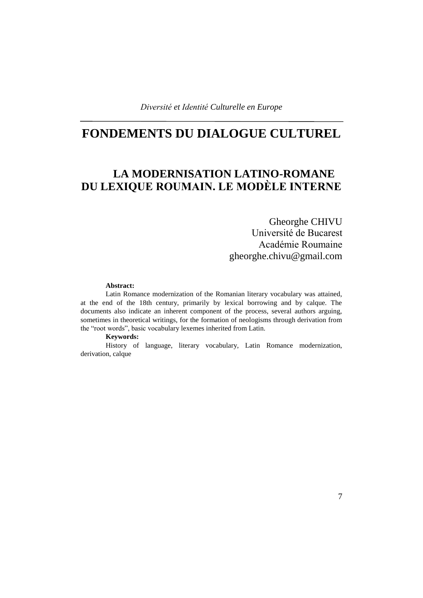# **FONDEMENTS DU DIALOGUE CULTUREL**

# **LA MODERNISATION LATINO-ROMANE DU LEXIQUE ROUMAIN. LE MODÈLE INTERNE**

# Gheorghe CHIVU Université de Bucarest Académie Roumaine gheorghe.chivu@gmail.com

### **Abstract:**

Latin Romance modernization of the Romanian literary vocabulary was attained, at the end of the 18th century, primarily by lexical borrowing and by calque. The documents also indicate an inherent component of the process, several authors arguing, sometimes in theoretical writings, for the formation of neologisms through derivation from the "root words", basic vocabulary lexemes inherited from Latin.

**Keywords:**

History of language, literary vocabulary, Latin Romance modernization, derivation, calque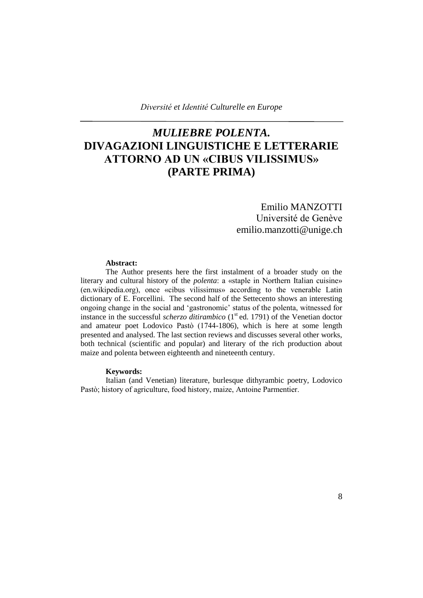# *MULIEBRE POLENTA.* **DIVAGAZIONI LINGUISTICHE E LETTERARIE ATTORNO AD UN «CIBUS VILISSIMUS» (PARTE PRIMA)**

# Emilio MANZOTTI Université de Genève emilio.manzotti@unige.ch

### **Abstract:**

The Author presents here the first instalment of a broader study on the literary and cultural history of the *polenta*: a «staple in Northern Italian cuisine» (en.wikipedia.org), once «cibus vilissimus» according to the venerable Latin dictionary of E. Forcellini. The second half of the Settecento shows an interesting ongoing change in the social and 'gastronomic' status of the polenta, witnessed for instance in the successful *scherzo ditirambico* (1<sup>st</sup> ed. 1791) of the Venetian doctor and amateur poet Lodovico Pastò (1744-1806), which is here at some length presented and analysed. The last section reviews and discusses several other works, both technical (scientific and popular) and literary of the rich production about maize and polenta between eighteenth and nineteenth century.

### **Keywords:**

Italian (and Venetian) literature, burlesque dithyrambic poetry, Lodovico Pastò; history of agriculture, food history, maize, Antoine Parmentier.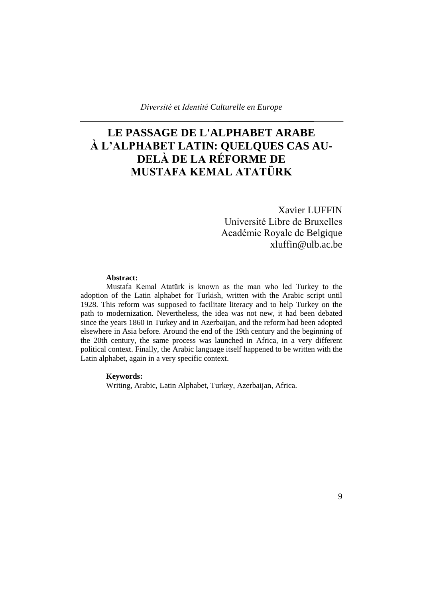# **LE PASSAGE DE L'ALPHABET ARABE À L'ALPHABET LATIN: QUELQUES CAS AU-DELÀ DE LA RÉFORME DE MUSTAFA KEMAL ATATÜRK**

Xavier LUFFIN Université Libre de Bruxelles Académie Royale de Belgique [xluffin@ulb.ac.be](https://fr-mg42.mail.yahoo.com/neo/launch?.rand=2d06u8v65jrdl)

### **Abstract:**

Mustafa Kemal Atatürk is known as the man who led Turkey to the adoption of the Latin alphabet for Turkish, written with the Arabic script until 1928. This reform was supposed to facilitate literacy and to help Turkey on the path to modernization. Nevertheless, the idea was not new, it had been debated since the years 1860 in Turkey and in Azerbaijan, and the reform had been adopted elsewhere in Asia before. Around the end of the 19th century and the beginning of the 20th century, the same process was launched in Africa, in a very different political context. Finally, the Arabic language itself happened to be written with the Latin alphabet, again in a very specific context.

### **Keywords:**

Writing, Arabic, Latin Alphabet, Turkey, Azerbaijan, Africa.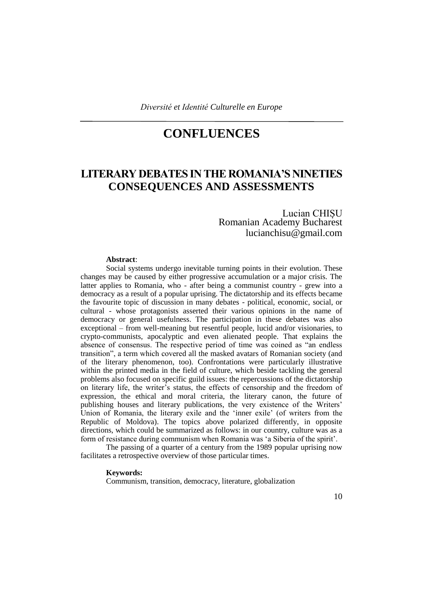# **CONFLUENCES**

# **LITERARY DEBATES IN THE ROMANIA'S NINETIES CONSEQUENCES AND ASSESSMENTS**

### Lucian CHIȘU Romanian Academy Bucharest lucianchisu@gmail.com

### **Abstract**:

Social systems undergo inevitable turning points in their evolution. These changes may be caused by either progressive accumulation or a major crisis. The latter applies to Romania, who - after being a communist country - grew into a democracy as a result of a popular uprising. The dictatorship and its effects became the favourite topic of discussion in many debates - political, economic, social, or cultural - whose protagonists asserted their various opinions in the name of democracy or general usefulness. The participation in these debates was also exceptional – from well-meaning but resentful people, lucid and/or visionaries, to crypto-communists, apocalyptic and even alienated people. That explains the absence of consensus. The respective period of time was coined as "an endless transition", a term which covered all the masked avatars of Romanian society (and of the literary phenomenon, too). Confrontations were particularly illustrative within the printed media in the field of culture, which beside tackling the general problems also focused on specific guild issues: the repercussions of the dictatorship on literary life, the writer's status, the effects of censorship and the freedom of expression, the ethical and moral criteria, the literary canon, the future of publishing houses and literary publications, the very existence of the Writers' Union of Romania, the literary exile and the 'inner exile' (of writers from the Republic of Moldova). The topics above polarized differently, in opposite directions, which could be summarized as follows: in our country, culture was as a form of resistance during communism when Romania was 'a Siberia of the spirit'.

The passing of a quarter of a century from the 1989 popular uprising now facilitates a retrospective overview of those particular times.

#### **Keywords:**

Communism, transition, democracy, literature, globalization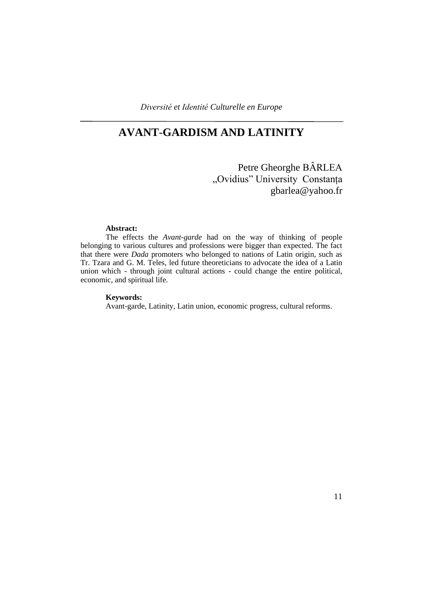# **AVANT**-**GARDISM AND LATINITY**

Petre Gheorghe BÂRLEA "Ovidius" University Constanța gbarlea@yahoo.fr

### **Abstract:**

The effects the *Avant-garde* had on the way of thinking of people belonging to various cultures and professions were bigger than expected. The fact that there were *Dada* promoters who belonged to nations of Latin origin, such as Tr. Tzara and G. M. Teles, led future theoreticians to advocate the idea of a Latin union which - through joint cultural actions - could change the entire political, economic, and spiritual life.

#### **Keywords:**

Avant-garde, Latinity, Latin union, economic progress, cultural reforms.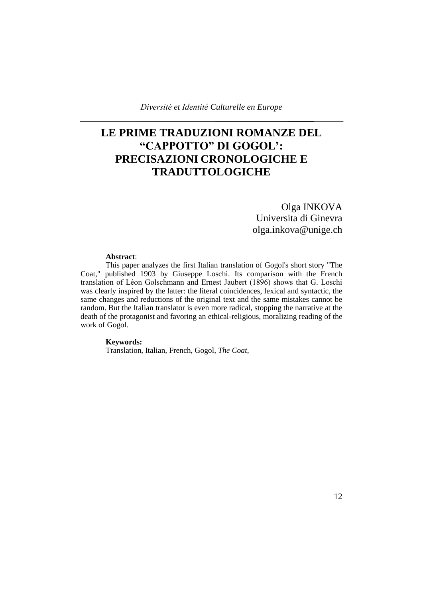# **LE PRIME TRADUZIONI ROMANZE DEL "CAPPOTTO" DI GOGOL': PRECISAZIONI CRONOLOGICHE E TRADUTTOLOGICHE**

# Olga INKOVA Universita di Ginevra olga.inkova@unige.ch

#### **Abstract**:

This paper analyzes the first Italian translation of Gogol's short story "The Coat," published 1903 by Giuseppe Loschi. Its comparison with the French translation of Léon Golschmann and Ernest Jaubert (1896) shows that G. Loschi was clearly inspired by the latter: the literal coincidences, lexical and syntactic, the same changes and reductions of the original text and the same mistakes cannot be random. But the Italian translator is even more radical, stopping the narrative at the death of the protagonist and favoring an ethical-religious, moralizing reading of the work of Gogol.

#### **Keywords:**

Translation, Italian, French, Gogol, *The Coat*,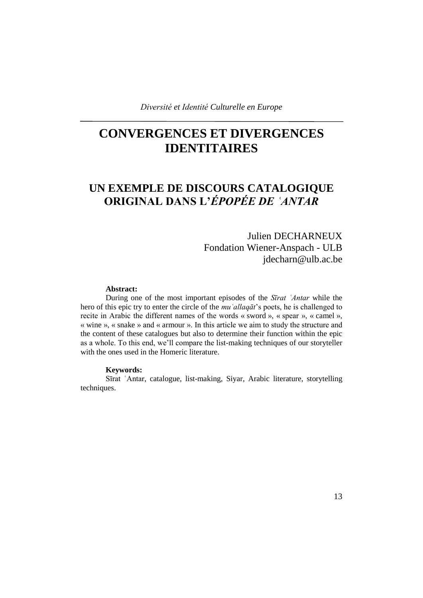# **CONVERGENCES ET DIVERGENCES IDENTITAIRES**

# **UN EXEMPLE DE DISCOURS CATALOGIQUE ORIGINAL DANS L'***ÉPOPÉE DE ʿANTAR*

Julien DECHARNEUX Fondation Wiener-Anspach - ULB jdecharn@ulb.ac.be

#### **Abstract:**

During one of the most important episodes of the *Sīrat ʿAntar* while the hero of this epic try to enter the circle of the *muʿallaqāt*'s poets, he is challenged to recite in Arabic the different names of the words « sword », « spear », « camel », « wine », « snake » and « armour ». In this article we aim to study the structure and the content of these catalogues but also to determine their function within the epic as a whole. To this end, we'll compare the list-making techniques of our storyteller with the ones used in the Homeric literature.

#### **Keywords:**

Sīrat ʿAntar, catalogue, list-making, Siyar, Arabic literature, storytelling techniques.